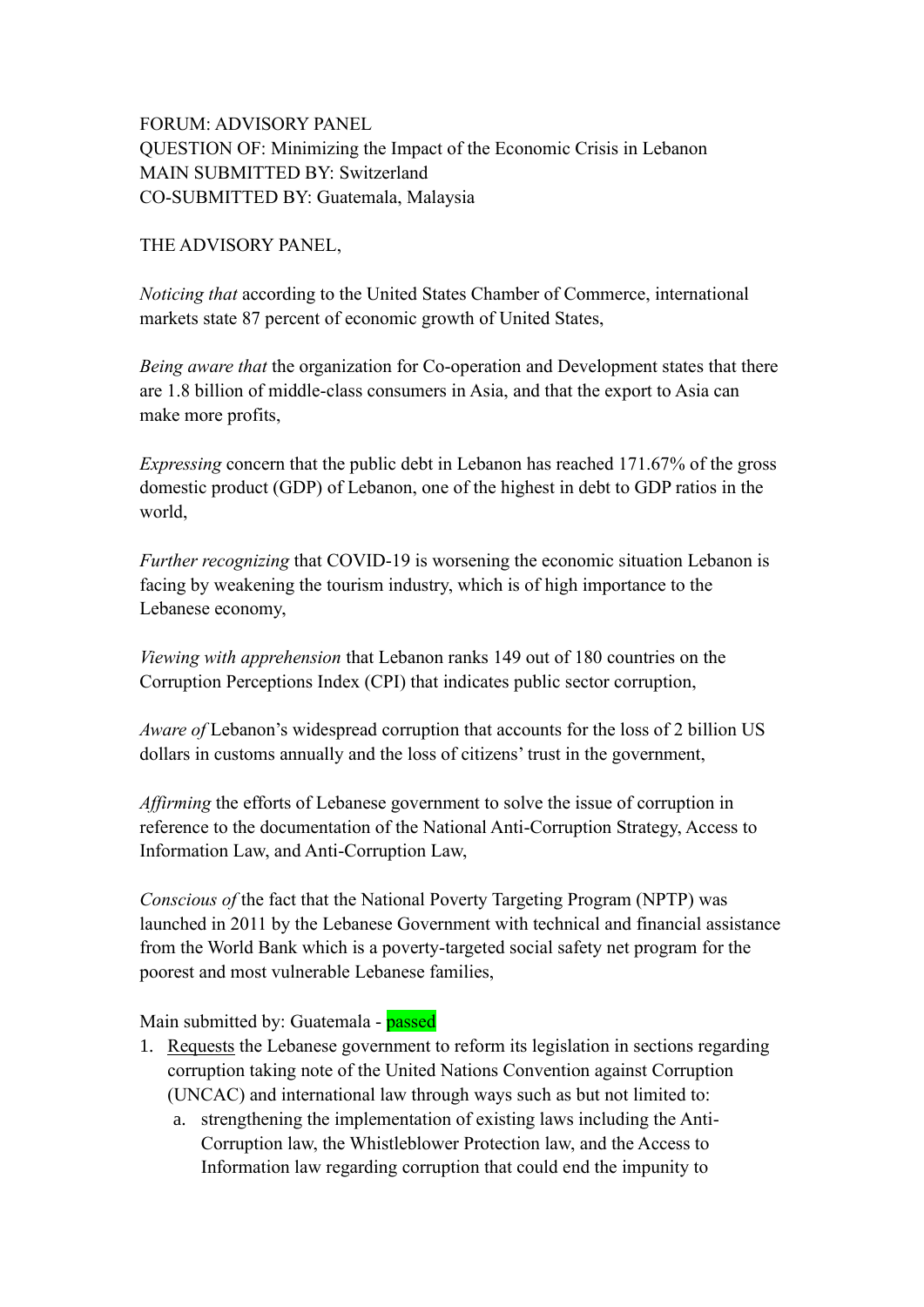## FORUM: ADVISORY PANEL QUESTION OF: Minimizing the Impact of the Economic Crisis in Lebanon MAIN SUBMITTED BY: Switzerland CO-SUBMITTED BY: Guatemala, Malaysia

## THE ADVISORY PANEL,

*Noticing that* according to the United States Chamber of Commerce, international markets state 87 percent of economic growth of United States,

*Being aware that* the organization for Co-operation and Development states that there are 1.8 billion of middle-class consumers in Asia, and that the export to Asia can make more profits,

*Expressing* concern that the public debt in Lebanon has reached 171.67% of the gross domestic product (GDP) of Lebanon, one of the highest in debt to GDP ratios in the world,

*Further recognizing* that COVID-19 is worsening the economic situation Lebanon is facing by weakening the tourism industry, which is of high importance to the Lebanese economy,

*Viewing with apprehension* that Lebanon ranks 149 out of 180 countries on the Corruption Perceptions Index (CPI) that indicates public sector corruption,

*Aware of* Lebanon's widespread corruption that accounts for the loss of 2 billion US dollars in customs annually and the loss of citizens' trust in the government,

*Affirming* the efforts of Lebanese government to solve the issue of corruption in reference to the documentation of the National Anti-Corruption Strategy, Access to Information Law, and Anti-Corruption Law,

*Conscious of* the fact that the National Poverty Targeting Program (NPTP) was launched in 2011 by the Lebanese Government with technical and financial assistance from the World Bank which is a poverty-targeted social safety net program for the poorest and most vulnerable Lebanese families,

Main submitted by: Guatemala - passed

- 1. Requests the Lebanese government to reform its legislation in sections regarding corruption taking note of the United Nations Convention against Corruption (UNCAC) and international law through ways such as but not limited to:
	- a. strengthening the implementation of existing laws including the Anti-Corruption law, the Whistleblower Protection law, and the Access to Information law regarding corruption that could end the impunity to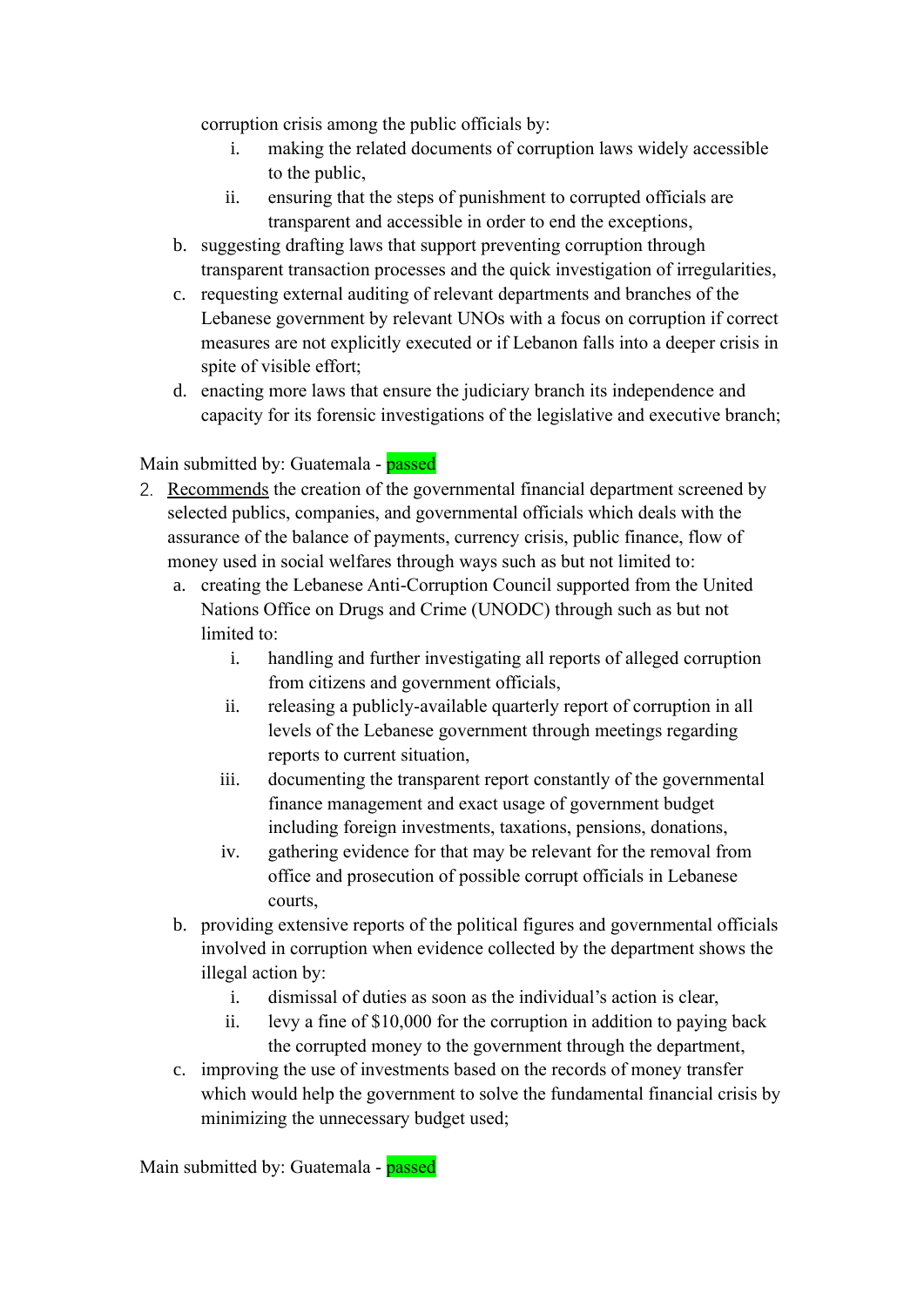corruption crisis among the public officials by:

- i. making the related documents of corruption laws widely accessible to the public,
- ii. ensuring that the steps of punishment to corrupted officials are transparent and accessible in order to end the exceptions,
- b. suggesting drafting laws that support preventing corruption through transparent transaction processes and the quick investigation of irregularities,
- c. requesting external auditing of relevant departments and branches of the Lebanese government by relevant UNOs with a focus on corruption if correct measures are not explicitly executed or if Lebanon falls into a deeper crisis in spite of visible effort;
- d. enacting more laws that ensure the judiciary branch its independence and capacity for its forensic investigations of the legislative and executive branch;

## Main submitted by: Guatemala - passed

- 2. Recommends the creation of the governmental financial department screened by selected publics, companies, and governmental officials which deals with the assurance of the balance of payments, currency crisis, public finance, flow of money used in social welfares through ways such as but not limited to:
	- a. creating the Lebanese Anti-Corruption Council supported from the United Nations Office on Drugs and Crime (UNODC) through such as but not limited to:
		- i. handling and further investigating all reports of alleged corruption from citizens and government officials,
		- ii. releasing a publicly-available quarterly report of corruption in all levels of the Lebanese government through meetings regarding reports to current situation,
		- iii. documenting the transparent report constantly of the governmental finance management and exact usage of government budget including foreign investments, taxations, pensions, donations,
		- iv. gathering evidence for that may be relevant for the removal from office and prosecution of possible corrupt officials in Lebanese courts,
	- b. providing extensive reports of the political figures and governmental officials involved in corruption when evidence collected by the department shows the illegal action by:
		- i. dismissal of duties as soon as the individual's action is clear,
		- ii. levy a fine of \$10,000 for the corruption in addition to paying back the corrupted money to the government through the department,
	- c. improving the use of investments based on the records of money transfer which would help the government to solve the fundamental financial crisis by minimizing the unnecessary budget used;

Main submitted by: Guatemala - **passed**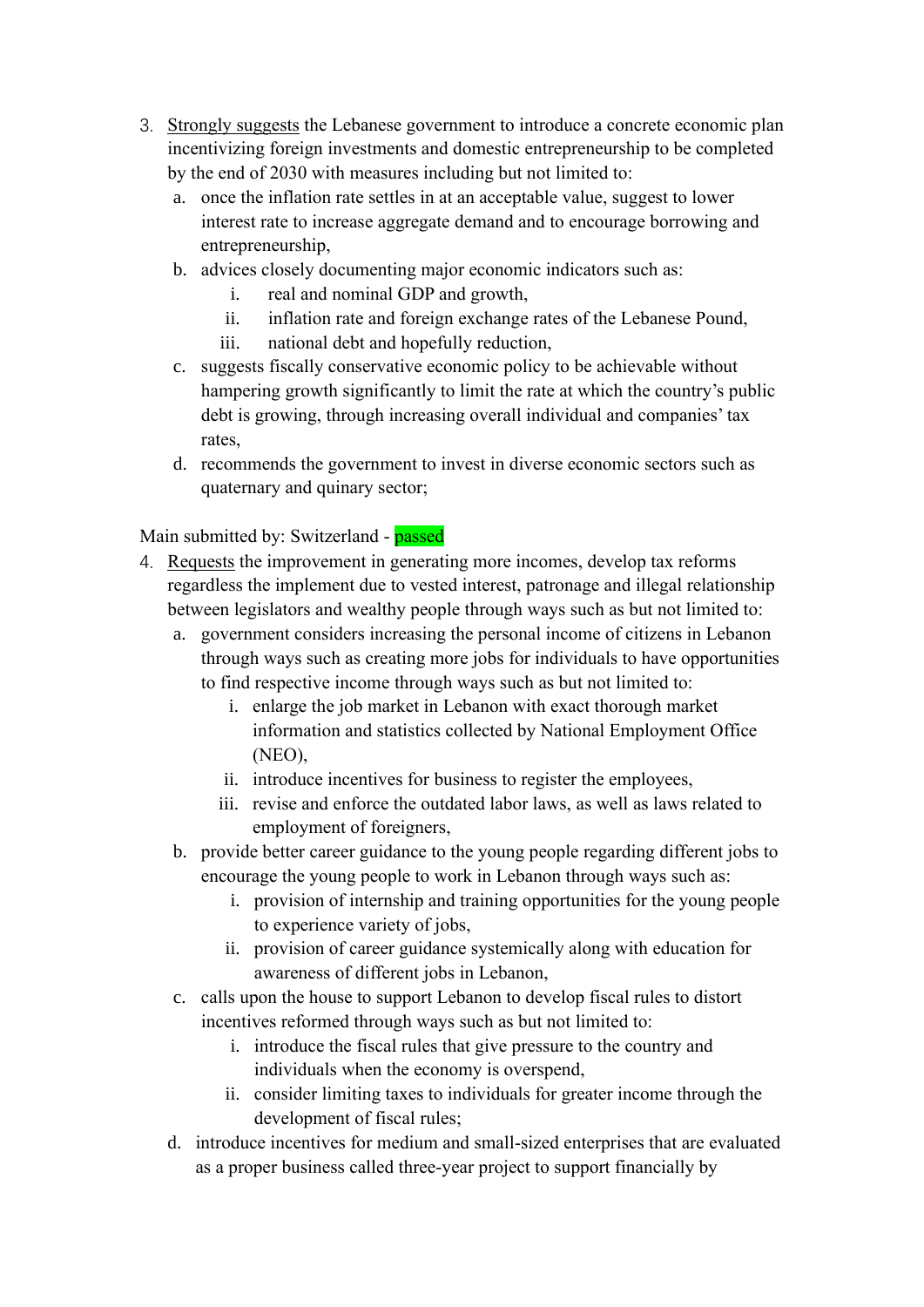- 3. Strongly suggests the Lebanese government to introduce a concrete economic plan incentivizing foreign investments and domestic entrepreneurship to be completed by the end of 2030 with measures including but not limited to:
	- a. once the inflation rate settles in at an acceptable value, suggest to lower interest rate to increase aggregate demand and to encourage borrowing and entrepreneurship,
	- b. advices closely documenting major economic indicators such as:
		- i. real and nominal GDP and growth,
		- ii. inflation rate and foreign exchange rates of the Lebanese Pound,
		- iii. national debt and hopefully reduction,
	- c. suggests fiscally conservative economic policy to be achievable without hampering growth significantly to limit the rate at which the country's public debt is growing, through increasing overall individual and companies' tax rates,
	- d. recommends the government to invest in diverse economic sectors such as quaternary and quinary sector;

Main submitted by: Switzerland - passed

- 4. Requests the improvement in generating more incomes, develop tax reforms regardless the implement due to vested interest, patronage and illegal relationship between legislators and wealthy people through ways such as but not limited to:
	- a. government considers increasing the personal income of citizens in Lebanon through ways such as creating more jobs for individuals to have opportunities to find respective income through ways such as but not limited to:
		- i. enlarge the job market in Lebanon with exact thorough market information and statistics collected by National Employment Office (NEO),
		- ii. introduce incentives for business to register the employees,
		- iii. revise and enforce the outdated labor laws, as well as laws related to employment of foreigners,
	- b. provide better career guidance to the young people regarding different jobs to encourage the young people to work in Lebanon through ways such as:
		- i. provision of internship and training opportunities for the young people to experience variety of jobs,
		- ii. provision of career guidance systemically along with education for awareness of different jobs in Lebanon,
	- c. calls upon the house to support Lebanon to develop fiscal rules to distort incentives reformed through ways such as but not limited to:
		- i. introduce the fiscal rules that give pressure to the country and individuals when the economy is overspend,
		- ii. consider limiting taxes to individuals for greater income through the development of fiscal rules;
	- d. introduce incentives for medium and small-sized enterprises that are evaluated as a proper business called three-year project to support financially by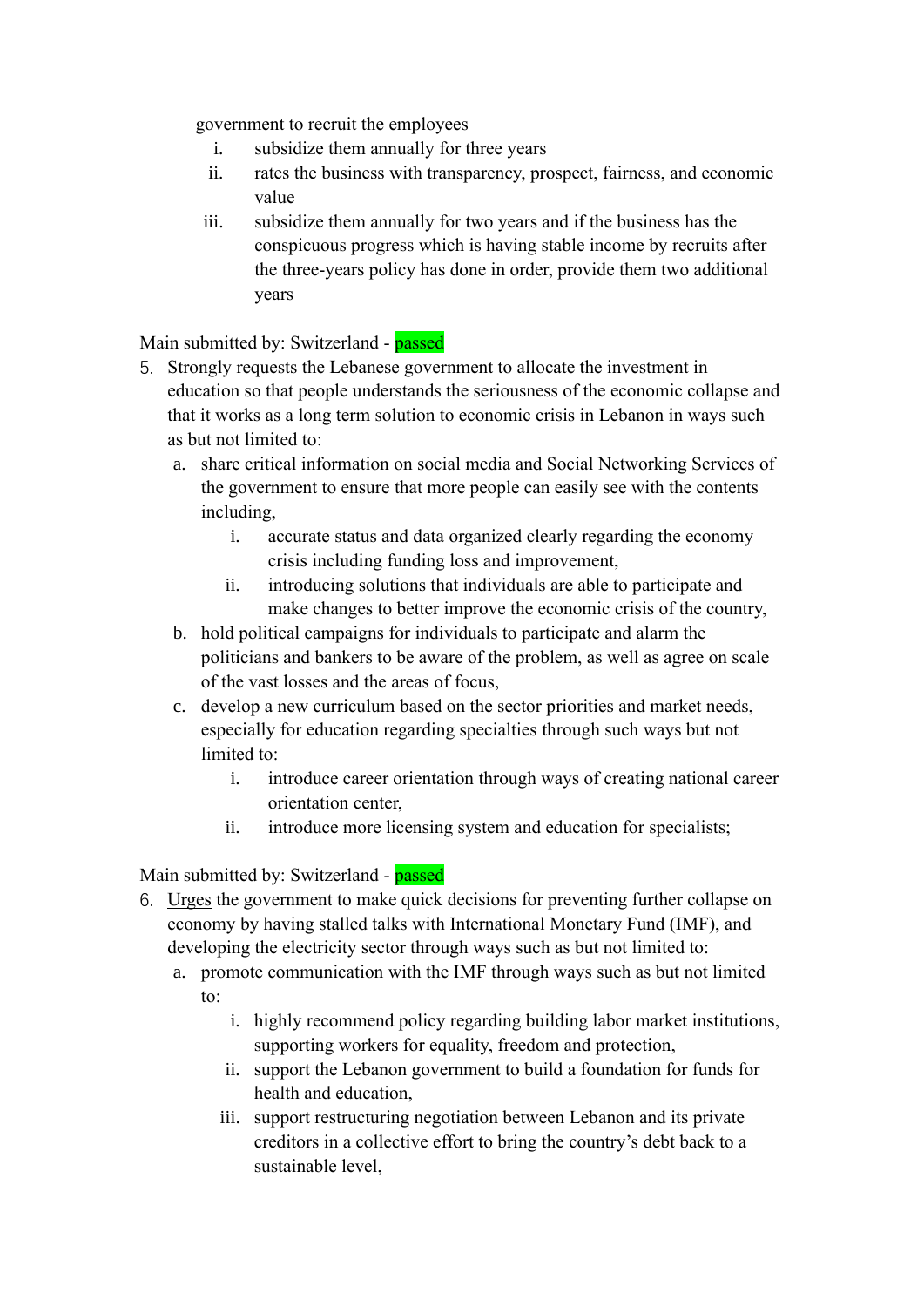government to recruit the employees

- i. subsidize them annually for three years
- ii. rates the business with transparency, prospect, fairness, and economic value
- iii. subsidize them annually for two years and if the business has the conspicuous progress which is having stable income by recruits after the three-years policy has done in order, provide them two additional years

Main submitted by: Switzerland - passed

- 5. Strongly requests the Lebanese government to allocate the investment in education so that people understands the seriousness of the economic collapse and that it works as a long term solution to economic crisis in Lebanon in ways such as but not limited to:
	- a. share critical information on social media and Social Networking Services of the government to ensure that more people can easily see with the contents including,
		- i. accurate status and data organized clearly regarding the economy crisis including funding loss and improvement,
		- ii. introducing solutions that individuals are able to participate and make changes to better improve the economic crisis of the country,
	- b. hold political campaigns for individuals to participate and alarm the politicians and bankers to be aware of the problem, as well as agree on scale of the vast losses and the areas of focus,
	- c. develop a new curriculum based on the sector priorities and market needs, especially for education regarding specialties through such ways but not limited to:
		- i. introduce career orientation through ways of creating national career orientation center,
		- ii. introduce more licensing system and education for specialists;

Main submitted by: Switzerland - **passed** 

- 6. Urges the government to make quick decisions for preventing further collapse on economy by having stalled talks with International Monetary Fund (IMF), and developing the electricity sector through ways such as but not limited to:
	- a. promote communication with the IMF through ways such as but not limited to:
		- i. highly recommend policy regarding building labor market institutions, supporting workers for equality, freedom and protection,
		- ii. support the Lebanon government to build a foundation for funds for health and education,
		- iii. support restructuring negotiation between Lebanon and its private creditors in a collective effort to bring the country's debt back to a sustainable level,